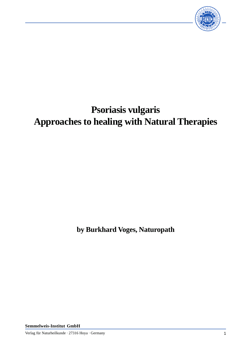

## **Psoriasis vulgaris Approaches to healing with Natural Therapies**

**by Burkhard Voges, Naturopath**

**Semmelweis-Institut GmbH**

Verlag für Naturheilkunde · 27316 Hoya · Germany 1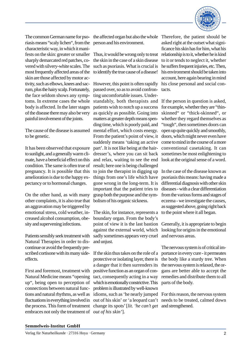

The common German name for psoriasis means "scaly lichen", from the characteristic way, in which it manifests on the skin: greater or smaller sharply demarcated red patches, covered with silvery-white scales. The most frequently affected areas of the skin are those affected by motor activity, such as elbows, knees and sacrum, plus the hairy scalp. Fortunately, the face seldom shows any symptoms. In extreme cases the whole body is affected. In the later stages of the disease there may also be very painful involvement of the joints.

The cause of the disease is assumed mental effort, which costs energy. to be genetic.

It has been observed that exposure to sunlight, and a generally warm climate, have a beneficial effect on this condition. The same is often true of pregnancy. It is possible that this amelioration is due to the happy expectancy or to hormonal changes.

On the other hand, as with many other complaints, it is also true that an aggravation may be triggered by emotional stress, cold weather, increased alcohol consumption, obesity and supervening infections.

Patients sensibly seek treatment with Natural Therapies in order to discontinue or avoid the frequently prescribed cortisone with its many sideeffects.

First and foremost, treatment with Natural Medicine means "opening up", being open to perception of connections between natural functions and natural rhythms, as well as fluctuations in everything involved in the process. This form of treatment embraces not only the treatment of *out of his skin'*].

person and his environment.

Thus, it would be wrong only to treat the skin in the case of a skin disease such as psoriasis. What is crucial is to identify the true cause of a disease!

However, this point is often rapidly passed over, so as to avoid confronting uncomfortable issues. Understandably, both therapists and patients wish to notch up a success as quickly as possible. Going into matters at greater depth means spending time, which is poorly paid, and From the patient's point of view, it suddenly means 'taking an active part'. It is not like being at the hairdresser's, where you can sit back and relax, waiting to see the end result; here one is being challenged to join the therapist in digging up In the case of the disease known as things from one's life which have gone wrong in the long-term. It is important that the patient tries to grasp both the purpose and the symbolism of his organic sickness.

The skin, for instance, represents a to the point where it all began. boundary organ. From the body's point of view it is the last bastion against the external world, which sadly sometimes appears very cruel and unjust.

If the skin thus takes on the role of a portance in every cure - it permeates protective or isolating layer, there is a danger that it then surrenders its positive function as an organ of contact, consequently acting in a way which is emotionally constrictive. This problem is illustrated by well-known idioms, such as 'he nearly jumped For this reason, the nervous system out of his skin' or 'a leopard can't needs to be treated, calmed down change its spots' [*lit. 'he can't get* and strengthened.

the affected organ but also the whole Therefore, the patient should be asked right at the outset what significance his skin has for him, what his relationship is to it, whether he is kind to it or tends to neglect it, whether he suffers frequent injuries, etc. Then, his environment should be taken into account, here again bearing in mind his close personal and social contacts.

> If the person in question is asked, for example, whether they are "thinskinned" or "thick-skinned", or whether they regard themselves as "tough", then sometimes doors can open up quite quickly and smoothly, doors, which might never even have come to mind in the course of a more conventional casetaking. It can sometimes be most enlightening to look at the original sense of a word.

> psoriasis this means: having made a differential diagnosis with other skin diseases - with a clear differentiation from the various forms and stages of eczema - we investigate the causes, as suggested above, going right back

> Generally, it is appropriate to begin looking for origins in the emotional and nervous areas.

> The nervous system is of critical imthe body like a sturdy tree. When the nervous system is relaxed, the organs are better able to accept the remedies and distribute them to all parts of the body.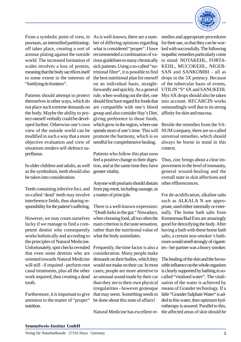

psoriasis, an intensified partitioningoff takes place, creating a sort of armour plating against the outside world. The increased formation of scales involves a loss of protein, meaning that the body sacrifices itself to some extent in the interests of "fortifying its frontiers".

Patients should attempt to protect themselves in other ways, which do not place such extreme demands on the body. Maybe the ability to protect oneself verbally could be developed further. Otherwise one's own view of the outside world can be modified in such a way that a more objective evaluation and view of situations renders self-defence superfluous.

In older children and adults, as well as the symbolism, teeth should also be taken into consideration.

Teeth containing infective foci, and so-called 'dead' teeth may involve interference fields, thus sharing responsibility for the patient's suffering.

However, we may count ourselves lucky if we manage to find a competent dentist who consequently works holistically and according to the principles of Natural Medicine. Unfortunately, spot checks revealed that even some dentists who are oriented towards Natural Medicine will still - if required - perform root canal treatments, plus all the other work required, thus creating a dead tooth.

Furthermore, it is important to give attention to the matter of "proper" nutrition.

From a symbolic point of view, in As is well-known, there are a number of differing opinions regarding what is considered "proper". I have recommended a combination of various guidelines to many chronically sick patients. Using a so-called "nutritional filter", it is possible to find the best nutritional plan for oneself on an individual basis, straightforwardly and quickly. As a general rule, when working out the diet, one should first have regard for foods that are compatible with one's blood group and also consider Hay's Diet, giving preference to those foods, which grow in the region, where one spends most of one's time. This will promote the harmony, which is so needful for comprehensive healing.

> Patients who follow this plan soon feel a positive change in their digestion, and at the same time they have greater vitality.

> Anyone with psoriasis should abstain from pig-meat, including sausage, as a matter of principle.

> There is a well-known expression: "Death lurks in the gut." Nowadays, when choosing food, all too often the main criterion is the taste sensation, rather than the nutritional value of what the body assimilates.

> Frequently, the time factor is also a consideration. Many people make demands on their bodies, which they would not make on their car. In most cases, people are more attentive to an unusual sound made by their car than they are to their own physical irregularities - however grotesque that may seem. Something needs to be done about this state of affairs!

Natural Medicine has excellent re-

medies and appropriate procedures for their use, so that they can be worked with successfully. The following isopathic remedies particularly come to mind: NOTAKEHL, FORTA-KEHL, MUCOKEHL, NIGER-SAN and SANKOMBI - all as drops in the 5X potency. Because of the tubercular basis of events, UTILIN "S" 6X and SANUKEHL Myc 6X drops should also be taken into account. RECARCIN works outstandingly well due to its strong affinity for skin and mucosa.

Beside the remedies from the SA-NUM company, there are so-called universal remedies, which should always be borne in mind in this context.

Thus, zinc brings about a clear improvement in the level of immunity, general wound-healing and the overall state in skin affections and other efflorescences.

For de-acidification, alkaline salts such as ALKALA N are appropriate, used either internally or externally. The home bath salts from Kemmenau/Bad Ems are amazingly good for detoxifying the body. After having a bath with these home bath salts, a certain non-smoker's bathroom would smell strongly of cigarettes - her partner was a heavy smoker.

The healing of the skin and the favourable influence on the whole organism is clearly supported by bathing in socalled "vitalised water". The vitalisation of the water is achieved by means of Grander technology. If a little "Grander Sulphate Water" is added to this water, then optimum hydrotherapy is assured. Parallel to this, the affected areas of skin should be